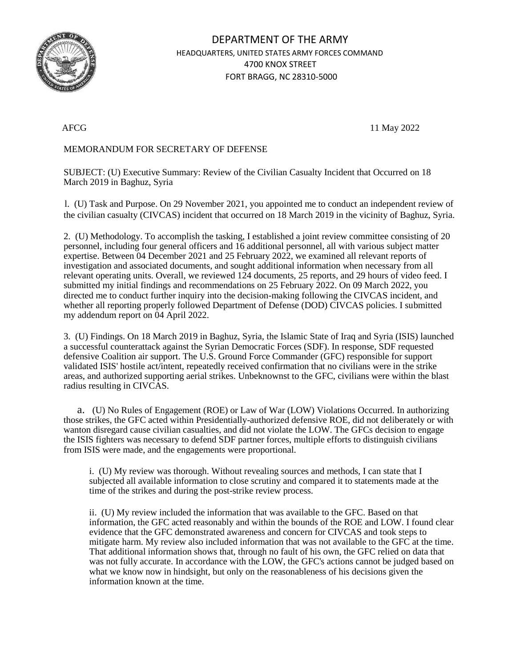

## DEPARTMENT OF THE ARMY HEADQUARTERS, UNITED STATES ARMY FORCES COMMAND 4700 KNOX STREET FORT BRAGG, NC 28310-5000

AFCG 11 May 2022

## MEMORANDUM FOR SECRETARY OF DEFENSE

SUBJECT: (U) Executive Summary: Review of the Civilian Casualty Incident that Occurred on 18 March 2019 in Baghuz, Syria

l. (U) Task and Purpose. On 29 November 2021, you appointed me to conduct an independent review of the civilian casualty (CIVCAS) incident that occurred on 18 March 2019 in the vicinity of Baghuz, Syria.

2. (U) Methodology. To accomplish the tasking, I established a joint review committee consisting of 20 personnel, including four general officers and 16 additional personnel, all with various subject matter expertise. Between 04 December 2021 and 25 February 2022, we examined all relevant reports of investigation and associated documents, and sought additional information when necessary from all relevant operating units. Overall, we reviewed 124 documents, 25 reports, and 29 hours of video feed. I submitted my initial findings and recommendations on 25 February 2022. On 09 March 2022, you directed me to conduct further inquiry into the decision-making following the CIVCAS incident, and whether all reporting properly followed Department of Defense (DOD) CIVCAS policies. I submitted my addendum report on 04 April 2022.

3. (U) Findings. On 18 March 2019 in Baghuz, Syria, the Islamic State of Iraq and Syria (ISIS) launched a successful counterattack against the Syrian Democratic Forces (SDF). In response, SDF requested defensive Coalition air support. The U.S. Ground Force Commander (GFC) responsible for support validated ISIS' hostile act/intent, repeatedly received confirmation that no civilians were in the strike areas, and authorized supporting aerial strikes. Unbeknownst to the GFC, civilians were within the blast radius resulting in CIVCAS.

a. (U) No Rules of Engagement (ROE) or Law of War (LOW) Violations Occurred. In authorizing those strikes, the GFC acted within Presidentially-authorized defensive ROE, did not deliberately or with wanton disregard cause civilian casualties, and did not violate the LOW. The GFCs decision to engage the ISIS fighters was necessary to defend SDF partner forces, multiple efforts to distinguish civilians from ISIS were made, and the engagements were proportional.

i. (U) My review was thorough. Without revealing sources and methods, I can state that I subjected all available information to close scrutiny and compared it to statements made at the time of the strikes and during the post-strike review process.

ii. (U) My review included the information that was available to the GFC. Based on that information, the GFC acted reasonably and within the bounds of the ROE and LOW. I found clear evidence that the GFC demonstrated awareness and concern for CIVCAS and took steps to mitigate harm. My review also included information that was not available to the GFC at the time. That additional information shows that, through no fault of his own, the GFC relied on data that was not fully accurate. In accordance with the LOW, the GFC's actions cannot be judged based on what we know now in hindsight, but only on the reasonableness of his decisions given the information known at the time.